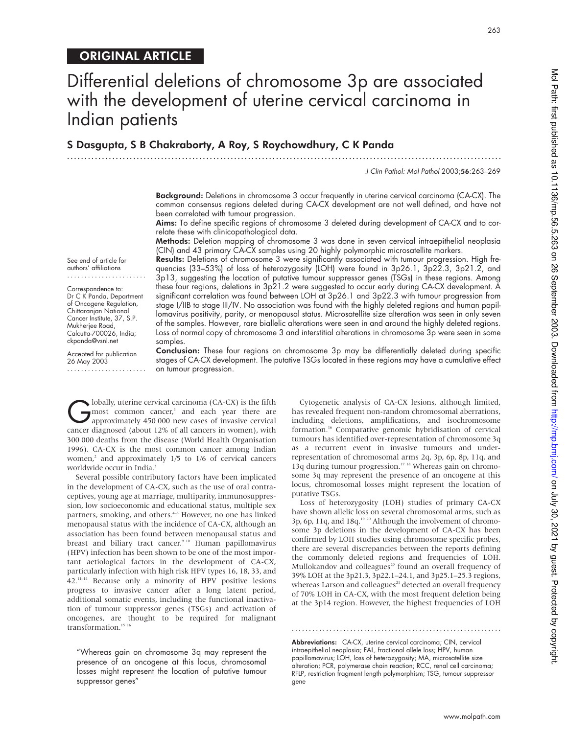# ORIGINAL ARTICLE

# Differential deletions of chromosome 3p are associated with the development of uterine cervical carcinoma in Indian patients

# S Dasgupta, S B Chakraborty, A Roy, S Roychowdhury, C K Panda

.............................................................................................................................

J Clin Pathol: Mol Pathol 2003;56:263–269

263

Background: Deletions in chromosome 3 occur frequently in uterine cervical carcinoma (CA-CX). The common consensus regions deleted during CA-CX development are not well defined, and have not been correlated with tumour progression.

Aims: To define specific regions of chromosome 3 deleted during development of CA-CX and to correlate these with clinicopathological data.

Methods: Deletion mapping of chromosome 3 was done in seven cervical intraepithelial neoplasia (CIN) and 43 primary CA-CX samples using 20 highly polymorphic microsatellite markers.

Results: Deletions of chromosome 3 were significantly associated with tumour progression. High frequencies (33–53%) of loss of heterozygosity (LOH) were found in 3p26.1, 3p22.3, 3p21.2, and 3p13, suggesting the location of putative tumour suppressor genes (TSGs) in these regions. Among these four regions, deletions in 3p21.2 were suggested to occur early during CA-CX development. A significant correlation was found between LOH at 3p26.1 and 3p22.3 with tumour progression from stage I/IIB to stage III/IV. No association was found with the highly deleted regions and human papillomavirus positivity, parity, or menopausal status. Microsatellite size alteration was seen in only seven of the samples. However, rare biallelic alterations were seen in and around the highly deleted regions. Loss of normal copy of chromosome 3 and interstitial alterations in chromosome 3p were seen in some samples.

See end of article for authors' affiliations .......................

Correspondence to: Dr C K Panda, Department of Oncogene Regulation, Chittaranjan National Cancer Institute, 37, S.P. Mukherjee Road, Calcutta-700026, India; ckpanda@vsnl.net

Accepted for publication 26 May 2003 .......................

Conclusion: These four regions on chromosome 3p may be differentially deleted during specific stages of CA-CX development. The putative TSGs located in these regions may have a cumulative effect on tumour progression.

**C** lobally, uterine cervical carcinoma (CA-CX) is the fifth most common cancer,<sup>1</sup> and each year there are approximately 450 000 new cases of invasive cervical cancer diagnosed (about 12% of all cancers in women), with lobally, uterine cervical carcinoma (CA-CX) is the fifth most common cancer,<sup>1</sup> and each year there are approximately 450 000 new cases of invasive cervical 300 000 deaths from the disease (World Health Organisation 1996). CA-CX is the most common cancer among Indian women,<sup>2</sup> and approximately 1/5 to 1/6 of cervical cancers worldwide occur in India.<sup>3</sup>

Several possible contributory factors have been implicated in the development of CA-CX, such as the use of oral contraceptives, young age at marriage, multiparity, immunosuppression, low socioeconomic and educational status, multiple sex partners, smoking, and others.<sup>4-8</sup> However, no one has linked menopausal status with the incidence of CA-CX, although an association has been found between menopausal status and breast and biliary tract cancer.<sup>9 10</sup> Human papillomavirus (HPV) infection has been shown to be one of the most important aetiological factors in the development of CA-CX, particularly infection with high risk HPV types 16, 18, 33, and 42.11–14 Because only a minority of HPV positive lesions progress to invasive cancer after a long latent period, additional somatic events, including the functional inactivation of tumour suppressor genes (TSGs) and activation of oncogenes, are thought to be required for malignant transformation.<sup>15</sup>

"Whereas gain on chromosome 3q may represent the presence of an oncogene at this locus, chromosomal losses might represent the location of putative tumour suppressor genes"

Cytogenetic analysis of CA-CX lesions, although limited, has revealed frequent non-random chromosomal aberrations, including deletions, amplifications, and isochromosome formation.<sup>16</sup> Comparative genomic hybridisation of cervical tumours has identified over-representation of chromosome 3q as a recurrent event in invasive tumours and underrepresentation of chromosomal arms 2q, 3p, 6p, 8p, 11q, and 13q during tumour progression.17 18 Whereas gain on chromosome 3q may represent the presence of an oncogene at this locus, chromosomal losses might represent the location of putative TSGs.

Loss of heterozygosity (LOH) studies of primary CA-CX have shown allelic loss on several chromosomal arms, such as 3p, 6p, 11q, and 18q.<sup>19 20</sup> Although the involvement of chromosome 3p deletions in the development of CA-CX has been confirmed by LOH studies using chromosome specific probes, there are several discrepancies between the reports defining the commonly deleted regions and frequencies of LOH. Mullokandov and colleagues<sup>20</sup> found an overall frequency of 39% LOH at the 3p21.3, 3p22.1–24.1, and 3p25.1–25.3 regions, whereas Larson and colleagues<sup>21</sup> detected an overall frequency of 70% LOH in CA-CX, with the most frequent deletion being at the 3p14 region. However, the highest frequencies of LOH

Abbreviations: CA-CX, uterine cervical carcinoma; CIN, cervical intraepithelial neoplasia; FAL, fractional allele loss; HPV, human papillomavirus; LOH, loss of heterozygosity; MA, microsatellite size alteration; PCR, polymerase chain reaction; RCC, renal cell carcinoma; RFLP, restriction fragment length polymorphism; TSG, tumour suppressor gene

.............................................................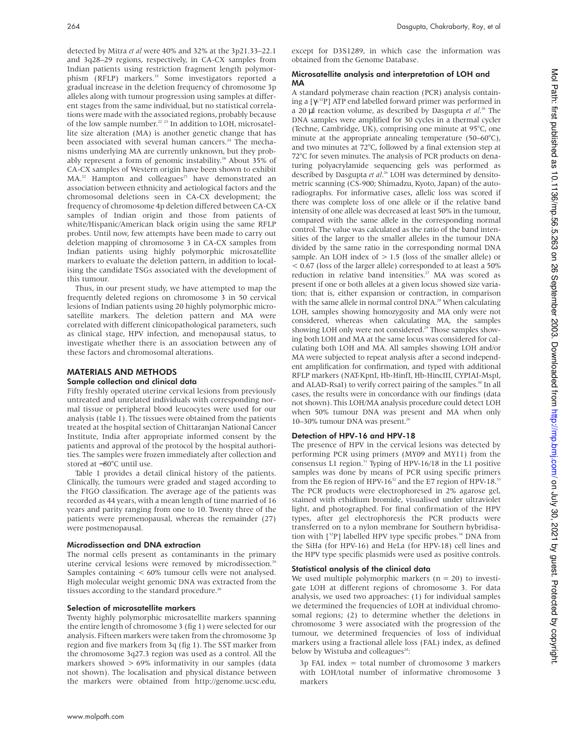detected by Mitra *et al* were 40% and 32% at the 3p21.33–22.1 and 3q28–29 regions, respectively, in CA-CX samples from Indian patients using restriction fragment length polymorphism (RFLP) markers.<sup>19</sup> Some investigators reported a gradual increase in the deletion frequency of chromosome 3p alleles along with tumour progression using samples at different stages from the same individual, but no statistical correlations were made with the associated regions, probably because of the low sample number.22 23 In addition to LOH, microsatellite size alteration (MA) is another genetic change that has been associated with several human cancers.<sup>24</sup> The mechanisms underlying MA are currently unknown, but they probably represent a form of genomic instability.<sup>24</sup> About 35% of CA-CX samples of Western origin have been shown to exhibit  $MA.<sup>22</sup>$  Hampton and colleagues<sup>25</sup> have demonstrated an association between ethnicity and aetiological factors and the chromosomal deletions seen in CA-CX development; the frequency of chromosome 4p deletion differed between CA-CX samples of Indian origin and those from patients of white/Hispanic/American black origin using the same RFLP probes. Until now, few attempts have been made to carry out deletion mapping of chromosome 3 in CA-CX samples from Indian patients using highly polymorphic microsatellite markers to evaluate the deletion pattern, in addition to localising the candidate TSGs associated with the development of this tumour.

Thus, in our present study, we have attempted to map the frequently deleted regions on chromosome 3 in 50 cervical lesions of Indian patients using 20 highly polymorphic microsatellite markers. The deletion pattern and MA were correlated with different clinicopathological parameters, such as clinical stage, HPV infection, and menopausal status, to investigate whether there is an association between any of these factors and chromosomal alterations.

# MATERIALS AND METHODS

# Sample collection and clinical data

Fifty freshly operated uterine cervical lesions from previously untreated and unrelated individuals with corresponding normal tissue or peripheral blood leucocytes were used for our analysis (table 1). The tissues were obtained from the patients treated at the hospital section of Chittaranjan National Cancer Institute, India after appropriate informed consent by the patients and approval of the protocol by the hospital authorities. The samples were frozen immediately after collection and stored at −80°C until use.

Table 1 provides a detail clinical history of the patients. Clinically, the tumours were graded and staged according to the FIGO classification. The average age of the patients was recorded as 44 years, with a mean length of time married of 16 years and parity ranging from one to 10. Twenty three of the patients were premenopausal, whereas the remainder (27) were postmenopausal.

#### Microdissection and DNA extraction

The normal cells present as contaminants in the primary uterine cervical lesions were removed by microdissection.<sup>26</sup> Samples containing < 60% tumour cells were not analysed. High molecular weight genomic DNA was extracted from the tissues according to the standard procedure.<sup>26</sup>

#### Selection of microsatellite markers

Twenty highly polymorphic microsatellite markers spanning the entire length of chromosome 3 (fig 1) were selected for our analysis. Fifteen markers were taken from the chromosome 3p region and five markers from 3q (fig 1). The SST marker from the chromosome 3q27.3 region was used as a control. All the markers showed > 69% informativity in our samples (data not shown). The localisation and physical distance between the markers were obtained from http://genome.ucsc.edu,

except for D3S1289, in which case the information was obtained from the Genome Database.

# Microsatellite analysis and interpretation of LOH and MA

A standard polymerase chain reaction (PCR) analysis containing a [γ<sup>-32</sup>P] ATP end labelled forward primer was performed in a 20 µl reaction volume, as described by Dasgupta *et al*. <sup>26</sup> The DNA samples were amplified for 30 cycles in a thermal cycler (Techne, Cambridge, UK), comprising one minute at 95°C, one minute at the appropriate annealing temperature (50–60°C), and two minutes at 72°C, followed by a final extension step at 72°C for seven minutes. The analysis of PCR products on denaturing polyacrylamide sequencing gels was performed as described by Dasgupta *et al*. <sup>26</sup> LOH was determined by densitometric scanning (CS-900; Shimadzu, Kyoto, Japan) of the autoradiographs. For informative cases, allelic loss was scored if there was complete loss of one allele or if the relative band intensity of one allele was decreased at least 50% in the tumour, compared with the same allele in the corresponding normal control. The value was calculated as the ratio of the band intensities of the larger to the smaller alleles in the tumour DNA divided by the same ratio in the corresponding normal DNA sample. An LOH index of  $> 1.5$  (loss of the smaller allele) or < 0.67 (loss of the larger allele) corresponded to at least a 50% reduction in relative band intensities.<sup>27</sup> MA was scored as present if one or both alleles at a given locus showed size variation; that is, either expansion or contraction, in comparison with the same allele in normal control DNA.<sup>28</sup> When calculating LOH, samples showing homozygosity and MA only were not considered, whereas when calculating MA, the samples showing LOH only were not considered.<sup>29</sup> Those samples showing both LOH and MA at the same locus was considered for calculating both LOH and MA. All samples showing LOH and/or MA were subjected to repeat analysis after a second independent amplification for confirmation, and typed with additional RFLP markers (NAT-KpnI, Hb-HinfI, Hb-HincIII, CYPIAI-MspI, and ALAD-RsaI) to verify correct pairing of the samples.<sup>30</sup> In all cases, the results were in concordance with our findings (data not shown). This LOH/MA analysis procedure could detect LOH when 50% tumour DNA was present and MA when only 10–30% tumour DNA was present.<sup>26</sup>

# Detection of HPV-16 and HPV-18

The presence of HPV in the cervical lesions was detected by performing PCR using primers (MY09 and MY11) from the consensus L1 region.<sup>31</sup> Typing of HPV-16/18 in the L1 positive samples was done by means of PCR using specific primers from the E6 region of HPV-16 $32$  and the E7 region of HPV-18. $33$ The PCR products were electrophoresed in 2% agarose gel, stained with ethidium bromide, visualised under ultraviolet light, and photographed. For final confirmation of the HPV types, after gel electrophoresis the PCR products were transferred on to a nylon membrane for Southern hybridisation with  $[32P]$  labelled HPV type specific probes.<sup>34</sup> DNA from the SiHa (for HPV-16) and HeLa (for HPV-18) cell lines and the HPV type specific plasmids were used as positive controls.

# Statistical analysis of the clinical data

We used multiple polymorphic markers ( $n = 20$ ) to investigate LOH at different regions of chromosome 3. For data analysis, we used two approaches: (1) for individual samples we determined the frequencies of LOH at individual chromosomal regions; (2) to determine whether the deletions in chromosome 3 were associated with the progression of the tumour, we determined frequencies of loss of individual markers using a fractional allele loss (FAL) index, as defined below by Wistuba and colleagues<sup>28</sup>:

3p FAL index = total number of chromosome 3 markers with LOH/total number of informative chromosome 3 markers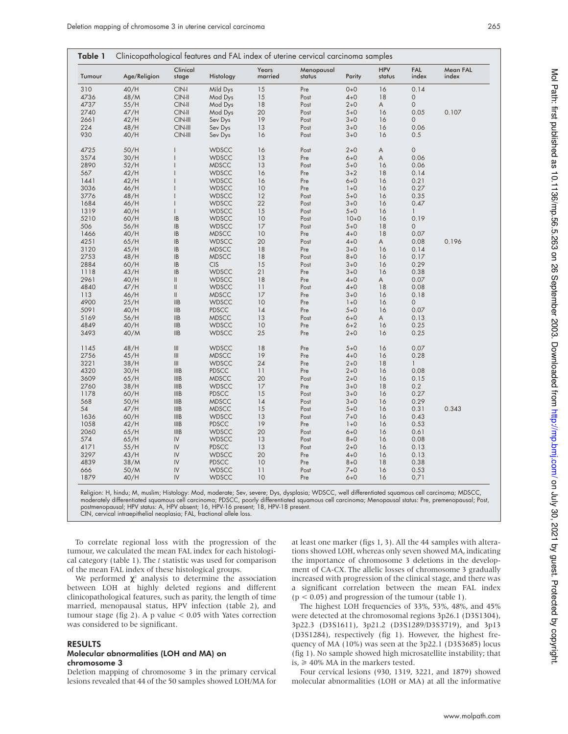| Tumour | Age/Religion | Clinical<br>stage                  | Histology    | Years<br>married | Menopausal<br>status | Parity  | <b>HPV</b><br>status | FAL<br>index        | Mean FAL<br>index |
|--------|--------------|------------------------------------|--------------|------------------|----------------------|---------|----------------------|---------------------|-------------------|
| 310    | 40/H         | $CIN-I$                            | Mild Dys     | 15               | Pre                  | $0 + 0$ | 16                   | 0.14                |                   |
| 4736   | 48/M         | $CIN-II$                           | Mod Dys      | 15               | Post                 | $4 + 0$ | 18                   | $\mathbf 0$         |                   |
| 4737   | 55/H         | $CIN-II$                           | Mod Dys      | 18               | Post                 | $2 + 0$ | A                    | $\mathsf{O}\xspace$ |                   |
| 2740   | 47/H         | $CIN-II$                           | Mod Dys      | 20               | Post                 | $5 + 0$ | 16                   | 0.05                | 0.107             |
| 2661   | 42/H         | $CIN-III$                          | Sev Dys      | 19               | Post                 | $3 + 0$ | 16                   | 0                   |                   |
| 224    | 48/H         | $CIN-III$                          | Sev Dys      | 13               | Post                 | $3 + 0$ | 16                   | 0.06                |                   |
| 930    | 40/H         | $CIN-III$                          | Sev Dys      | 16               | Post                 | $3 + 0$ | 16                   | 0.5                 |                   |
| 4725   | 50/H         | $\overline{1}$                     | <b>WDSCC</b> | 16               | Post                 | $2 + 0$ | A                    | $\mathsf{O}\xspace$ |                   |
| 3574   | 30/H         | $\overline{1}$                     | <b>WDSCC</b> | 13               | Pre                  | $6 + 0$ | A                    | 0.06                |                   |
| 2890   | 52/H         |                                    | <b>MDSCC</b> | 13               | Post                 | $5 + 0$ | 16                   | 0.06                |                   |
| 567    | 42/H         |                                    | <b>WDSCC</b> | 16               | Pre                  | $3 + 2$ | 18                   | 0.14                |                   |
| 1441   | 42/H         |                                    | <b>WDSCC</b> | 16               | Pre                  | $6 + 0$ | 16                   | 0.21                |                   |
| 3036   | 46/H         |                                    | <b>WDSCC</b> | 10               | Pre                  | $1 + 0$ | 16                   | 0.27                |                   |
| 3776   | 48/H         |                                    | <b>WDSCC</b> | 12               | Post                 | $5 + 0$ | 16                   | 0.35                |                   |
| 1684   | 46/H         |                                    | <b>WDSCC</b> | 22               | Post                 | $3 + 0$ | 16                   | 0.47                |                   |
| 1319   | 40/H         | $\overline{1}$                     | <b>WDSCC</b> | 15               | Post                 | $5 + 0$ | 16                   | $\mathbf{1}$        |                   |
| 5210   | 60/H         | IB                                 | <b>WDSCC</b> | 10               | Post                 | $10+0$  | 16                   | 0.19                |                   |
| 506    | 56/H         | $\mathsf{IB}$                      | <b>WDSCC</b> | 17               | Post                 | $5 + 0$ | 18                   | $\mathsf O$         |                   |
| 1466   | 40/H         | $\mathsf{IB}$                      | <b>MDSCC</b> | 10               | Pre                  | $4 + 0$ | 18                   | 0.07                |                   |
| 4251   | 65/H         | $\mathsf{IB}$                      | <b>WDSCC</b> | 20               |                      | $4 + 0$ | A                    | 0.08                | 0.196             |
|        |              |                                    |              |                  | Post                 |         |                      |                     |                   |
| 3120   | 45/H         | $\sf IB$                           | <b>MDSCC</b> | 18               | Pre                  | $3 + 0$ | 16                   | 0.14                |                   |
| 2753   | 48/H         | IB                                 | <b>MDSCC</b> | 18               | Post                 | $8 + 0$ | 16                   | 0.17                |                   |
| 2884   | 60/H         | $\mathsf{IB}$                      | <b>CIS</b>   | 15               | Post                 | $3 + 0$ | 16                   | 0.29                |                   |
| 1118   | 43/H         | $\mathsf{IB}$                      | <b>WDSCC</b> | 21               | Pre                  | $3 + 0$ | 16                   | 0.38                |                   |
| 2961   | 40/H         | $\ensuremath{\mathsf{II}}$         | <b>WDSCC</b> | 18               | Pre                  | $4 + 0$ | A                    | 0.07                |                   |
| 4840   | 47/H         |                                    | <b>WDSCC</b> | 11               | Post                 | $4 + 0$ | 18                   | 0.08                |                   |
| 113    | 46/H         | $\vert\vert$                       | <b>MDSCC</b> | 17               | Pre                  | $3 + 0$ | 16                   | 0.18                |                   |
| 4900   | 25/H         | IIB                                | <b>WDSCC</b> | 10               | Pre                  | $1 + 0$ | 16                   | 0                   |                   |
| 5091   | 40/H         | $\ensuremath{\mathsf{IIB}}$        | <b>PDSCC</b> | 14               | Pre                  | $5 + 0$ | 16                   | 0.07                |                   |
| 5169   | 56/H         | $\ensuremath{\mathsf{IIB}}$        | <b>MDSCC</b> | 13               | Post                 | $6 + 0$ | A                    | 0.13                |                   |
| 4849   | 40/H         | $\ensuremath{\mathsf{IIB}}$        | <b>WDSCC</b> | 10               | Pre                  | $6 + 2$ | 16                   | 0.25                |                   |
| 3493   | 40/M         | $\ensuremath{\mathsf{IIB}}$        | <b>WDSCC</b> | 25               | Pre                  | $2 + 0$ | 16                   | 0.25                |                   |
| 1145   | 48/H         | $\ensuremath{\mathsf{III}}\xspace$ | <b>WDSCC</b> | 18               | Pre                  | $5 + 0$ | 16                   | 0.07                |                   |
| 2756   | 45/H         | $\ensuremath{\mathsf{III}}\xspace$ | <b>MDSCC</b> | 19               | Pre                  | $4 + 0$ | 16                   | 0.28                |                   |
| 3221   | 38/H         | $\vert\vert\vert$                  | <b>WDSCC</b> | 24               | Pre                  | $2+0$   | 18                   | $\mathbf{1}$        |                   |
| 4320   | 30/H         | <b>IIIB</b>                        | <b>PDSCC</b> | 11               | Pre                  | $2 + 0$ | 16                   | 0.08                |                   |
| 3609   | 65/H         | <b>IIIB</b>                        | <b>MDSCC</b> | 20               | Post                 | $2+0$   | 16                   | 0.15                |                   |
| 2760   | 38/H         | <b>IIIB</b>                        | <b>WDSCC</b> | 17               | Pre                  | $3 + 0$ | 18                   | 0.2                 |                   |
| 1178   | 60/H         | <b>IIIB</b>                        | <b>PDSCC</b> | 15               | Post                 | $3 + 0$ | 16                   | 0.27                |                   |
| 568    | 50/H         | <b>IIIB</b>                        | <b>MDSCC</b> | 14               | Post                 | $3 + 0$ | 16                   | 0.29                |                   |
| 54     | 47/H         | <b>IIIB</b>                        | <b>MDSCC</b> | 15               | Post                 | $5 + 0$ | 16                   | 0.31                | 0.343             |
| 1636   | 60/H         | <b>IIIB</b>                        | <b>WDSCC</b> | 13               | Post                 | $7 + 0$ | 16                   | 0.43                |                   |
| 1058   | 42/H         | <b>IIIB</b>                        | <b>PDSCC</b> | 19               | Pre                  | $1+0$   | 16                   | 0.53                |                   |
| 2060   | 65/H         | <b>IIIB</b>                        | <b>WDSCC</b> | 20               | Post                 | $6 + 0$ | 16                   | 0.61                |                   |
| 574    | 65/H         | ${\sf IV}$                         | <b>WDSCC</b> | 13               | Post                 | $8 + 0$ | 16                   | 0.08                |                   |
| 4171   | 55/H         | $\mathsf{IV}\xspace$               | <b>PDSCC</b> | 13               | Post                 | $2 + 0$ | 16                   | 0.13                |                   |
| 3297   | 43/H         | $\mathsf{IV}\xspace$               | <b>WDSCC</b> | 20               | Pre                  | $4 + 0$ | 16                   | 0.13                |                   |
| 4839   | 38/M         | IV                                 | <b>PDSCC</b> | 10               | Pre                  | $8 + 0$ | 18                   | 0.38                |                   |
| 666    |              | IV                                 | <b>WDSCC</b> | 11               | Post                 | $7 + 0$ | 16                   | 0.53                |                   |
|        | 50/M         |                                    |              |                  |                      |         |                      |                     |                   |

Religion: H, hindu; M, muslim; Histology: Mod, moderate; Sev, severe; Dys, dysplasia; WDSCC, well differentiated squamous cell carcinoma; MDSCC,<br>moderately differentiated squamous cell carcinoma; PDSCC, poorly differentiat

To correlate regional loss with the progression of the tumour, we calculated the mean FAL index for each histological category (table 1). The *t* statistic was used for comparison of the mean FAL index of these histological groups.

We performed  $\chi^2$  analysis to determine the association between LOH at highly deleted regions and different clinicopathological features, such as parity, the length of time married, menopausal status, HPV infection (table 2), and tumour stage (fig 2). A p value < 0.05 with Yates correction was considered to be significant.

#### RESULTS

#### Molecular abnormalities (LOH and MA) on chromosome 3

Deletion mapping of chromosome 3 in the primary cervical lesions revealed that 44 of the 50 samples showed LOH/MA for at least one marker (figs 1, 3). All the 44 samples with alterations showed LOH, whereas only seven showed MA, indicating the importance of chromosome 3 deletions in the development of CA-CX. The allelic losses of chromosome 3 gradually increased with progression of the clinical stage, and there was a significant correlation between the mean FAL index  $(p < 0.05)$  and progression of the tumour (table 1).

The highest LOH frequencies of 33%, 53%, 48%, and 45% were detected at the chromosomal regions 3p26.1 (D3S1304), 3p22.3 (D3S1611), 3p21.2 (D3S1289/D3S3719), and 3p13 (D3S1284), respectively (fig 1). However, the highest frequency of MA (10%) was seen at the 3p22.1 (D3S3685) locus (fig 1). No sample showed high microsatellite instability; that is,  $\geq 40\%$  MA in the markers tested.

Four cervical lesions (930, 1319, 3221, and 1879) showed molecular abnormalities (LOH or MA) at all the informative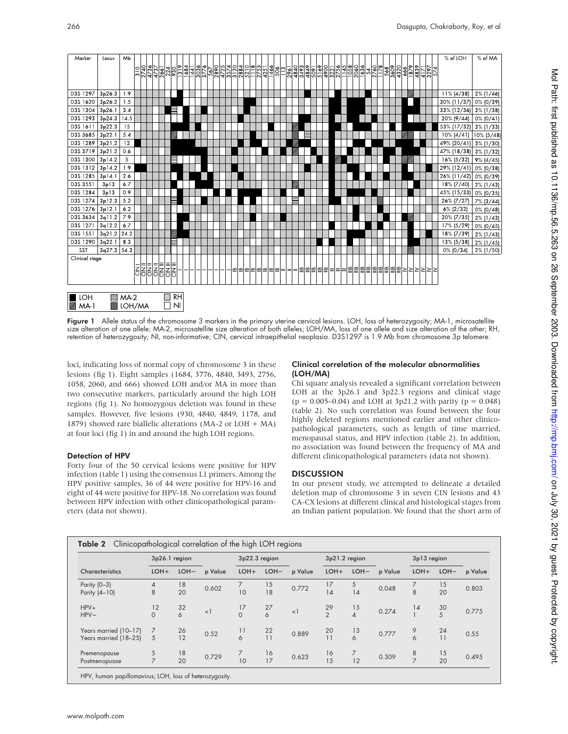

Figure 1 Allele status of the chromosome 3 markers in the primary uterine cervical lesions. LOH, loss of heterozygosity; MA-1, microsatellite size alteration of one allele; MA-2, microsatellite size alteration of both alleles; LOH/MA, loss of one allele and size alteration of the other; RH, retention of heterozygosity; NI, non-informative; CIN, cervical intraepithelial neoplasia. D3S1297 is 1.9 Mb from chromosome 3p telomere.

loci, indicating loss of normal copy of chromosome 3 in these lesions (fig 1). Eight samples (1684, 3776, 4840, 3493, 2756, 1058, 2060, and 666) showed LOH and/or MA in more than two consecutive markers, particularly around the high LOH regions (fig 1). No homozygous deletion was found in these samples. However, five lesions (930, 4840, 4849, 1178, and 1879) showed rare biallelic alterations (MA-2 or LOH + MA) at four loci (fig 1) in and around the high LOH regions.

# Detection of HPV

Forty four of the 50 cervical lesions were positive for HPV infection (table 1) using the consensus L1 primers. Among the HPV positive samples, 36 of 44 were positive for HPV-16 and eight of 44 were positive for HPV-18. No correlation was found between HPV infection with other clinicopathological parameters (data not shown).

#### Clinical correlation of the molecular abnormalities (LOH/MA)

Chi square analysis revealed a significant correlation between LOH at the 3p26.1 and 3p22.3 regions and clinical stage  $(p = 0.005 - 0.04)$  and LOH at 3p21.2 with parity  $(p = 0.048)$ (table 2). No such correlation was found between the four highly deleted regions mentioned earlier and other clinicopathological parameters, such as length of time married, menopausal status, and HPV infection (table 2). In addition, no association was found between the frequency of MA and different clinicopathological parameters (data not shown).

# **DISCUSSION**

In our present study, we attempted to delineate a detailed deletion map of chromosome 3 in seven CIN lesions and 43 CA-CX lesions at different clinical and histological stages from an Indian patient population. We found that the short arm of

|                                                | 3p26.1 region  |          |         | 3p22.3 region  |          |         | 3p21.2 region        |                                |         | 3p13 region         |          |         |
|------------------------------------------------|----------------|----------|---------|----------------|----------|---------|----------------------|--------------------------------|---------|---------------------|----------|---------|
| Characteristics                                | $LOH+$         | LOH-     | p Value | $LOH+$         | LOH-     | p Value | $LOH+$               | LOH-                           | p Value | $LOH+$              | LOH-     | p Value |
| Parity (0-3)<br>Parity (4-10)                  | 4<br>8         | 18<br>20 | 0.602   | 10             | 15<br>18 | 0.772   | 17<br>14             | 5<br>14                        | 0.048   | 8                   | 15<br>20 | 0.803   |
| $HPV+$<br>$HPV-$                               | 12<br>$\Omega$ | 32<br>6  | $\lt$   | 17<br>$\Omega$ | 27<br>6  | $<$ ]   | 29<br>$\overline{2}$ | 15<br>$\overline{\mathcal{A}}$ | 0.274   | 14                  | 30<br>5  | 0.775   |
| Years married (10-17)<br>Years married (18-25) | 7<br>5         | 26<br>12 | 0.52    | 11<br>6        | 22<br>11 | 0.889   | 20<br>11             | 13<br>6                        | 0.777   | 9<br>6              | 24<br>11 | 0.55    |
| Premenopause<br>Postmenopuase                  | 5<br>7         | 18<br>20 | 0.729   | 10             | 16<br>17 | 0.623   | 16<br>15             | 12                             | 0.309   | 8<br>$\overline{z}$ | 15<br>20 | 0.495   |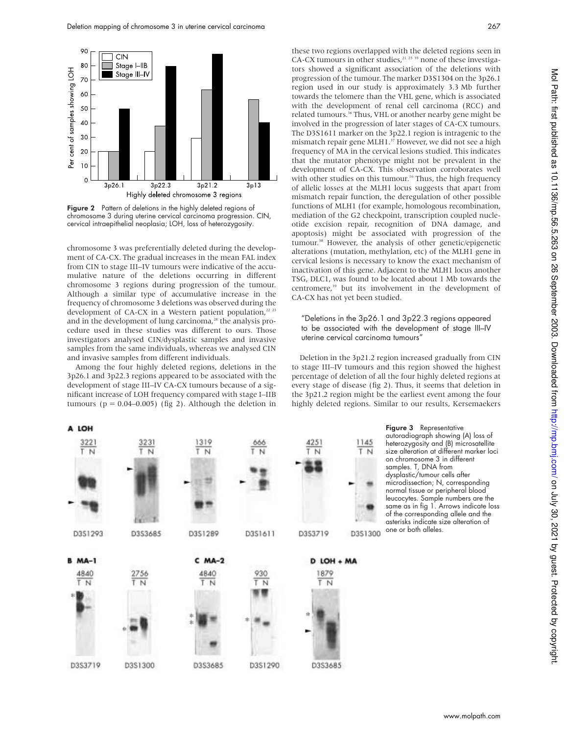

Figure 2 Pattern of deletions in the highly deleted regions of chromosome 3 during uterine cervical carcinoma progression. CIN, cervical intraepithelial neoplasia; LOH, loss of heterozygosity.

chromosome 3 was preferentially deleted during the development of CA-CX. The gradual increases in the mean FAL index from CIN to stage III–IV tumours were indicative of the accumulative nature of the deletions occurring in different chromosome 3 regions during progression of the tumour. Although a similar type of accumulative increase in the frequency of chromosome 3 deletions was observed during the development of CA-CX in a Western patient population, $22$  23 and in the development of lung carcinoma,<sup>28</sup> the analysis procedure used in these studies was different to ours. Those investigators analysed CIN/dysplastic samples and invasive samples from the same individuals, whereas we analysed CIN and invasive samples from different individuals.

Among the four highly deleted regions, deletions in the 3p26.1 and 3p22.3 regions appeared to be associated with the development of stage III–IV CA-CX tumours because of a significant increase of LOH frequency compared with stage I–IIB tumours ( $p = 0.04 - 0.005$ ) (fig 2). Although the deletion in

these two regions overlapped with the deleted regions seen in CA-CX tumours in other studies, $21$  23 35 none of these investigators showed a significant association of the deletions with progression of the tumour. The marker D3S1304 on the 3p26.1 region used in our study is approximately 3.3 Mb further towards the telomere than the VHL gene, which is associated with the development of renal cell carcinoma (RCC) and related tumours.<sup>36</sup> Thus, VHL or another nearby gene might be involved in the progression of later stages of CA-CX tumours. The D3S1611 marker on the 3p22.1 region is intragenic to the mismatch repair gene MLH1.<sup>37</sup> However, we did not see a high frequency of MA in the cervical lesions studied. This indicates that the mutator phenotype might not be prevalent in the development of CA-CX. This observation corroborates well with other studies on this tumour.<sup>16</sup> Thus, the high frequency of allelic losses at the MLH1 locus suggests that apart from mismatch repair function, the deregulation of other possible functions of MLH1 (for example, homologous recombination, mediation of the G2 checkpoint, transcription coupled nucleotide excision repair, recognition of DNA damage, and apoptosis) might be associated with progression of the tumour.<sup>38</sup> However, the analysis of other genetic/epigenetic alterations (mutation, methylation, etc) of the MLH1 gene in cervical lesions is necessary to know the exact mechanism of inactivation of this gene. Adjacent to the MLH1 locus another TSG, DLC1, was found to be located about 1 Mb towards the centromere,<sup>39</sup> but its involvement in the development of CA-CX has not yet been studied.

### "Deletions in the 3p26.1 and 3p22.3 regions appeared to be associated with the development of stage III–IV uterine cervical carcinoma tumours"

Deletion in the 3p21.2 region increased gradually from CIN to stage III–IV tumours and this region showed the highest percentage of deletion of all the four highly deleted regions at every stage of disease (fig 2). Thus, it seems that deletion in the 3p21.2 region might be the earliest event among the four highly deleted regions. Similar to our results, Kersemaekers



Figure 3 Representative autoradiograph showing (A) loss of heterozygosity and (B) microsatellite size alteration at different marker loci on chromosome 3 in different samples. T, DNA from dysplastic/tumour cells after microdissection; N, corresponding normal tissue or peripheral blood leucocytes. Sample numbers are the same as in fig 1. Arrows indicate loss of the corresponding allele and the asterisks indicate size alteration of one or both alleles.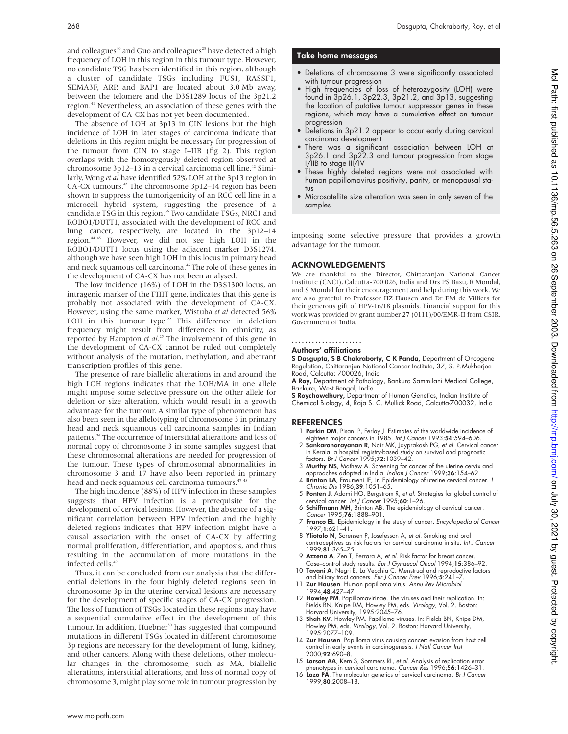and colleagues<sup>40</sup> and Guo and colleagues<sup>23</sup> have detected a high frequency of LOH in this region in this tumour type. However, no candidate TSG has been identified in this region, although a cluster of candidate TSGs including FUS1, RASSF1, SEMA3F, ARP, and BAP1 are located about 3.0 Mb away, between the telomere and the D3S1289 locus of the 3p21.2 region.<sup>41</sup> Nevertheless, an association of these genes with the development of CA-CX has not yet been documented.

The absence of LOH at 3p13 in CIN lesions but the high incidence of LOH in later stages of carcinoma indicate that deletions in this region might be necessary for progression of the tumour from CIN to stage I–IIB (fig 2). This region overlaps with the homozygously deleted region observed at chromosome 3p12–13 in a cervical carcinoma cell line.<sup>42</sup> Similarly, Wong *et al* have identified 52% LOH at the 3p13 region in CA-CX tumours.<sup>43</sup> The chromosome 3p12–14 region has been shown to suppress the tumorigenicity of an RCC cell line in a microcell hybrid system, suggesting the presence of a candidate TSG in this region.<sup>36</sup> Two candidate TSGs, NRC1 and ROBO1/DUTT1, associated with the development of RCC and lung cancer, respectively, are located in the 3p12–14 region.44 45 However, we did not see high LOH in the ROBO1/DUTT1 locus using the adjacent marker D3S1274, although we have seen high LOH in this locus in primary head and neck squamous cell carcinoma.<sup>46</sup> The role of these genes in the development of CA-CX has not been analysed.

The low incidence (16%) of LOH in the D3S1300 locus, an intragenic marker of the FHIT gene, indicates that this gene is probably not associated with the development of CA-CX. However, using the same marker, Wistuba *et al* detected 56% LOH in this tumour type.<sup>22</sup> This difference in deletion frequency might result from differences in ethnicity, as reported by Hampton *et al*. <sup>25</sup> The involvement of this gene in the development of CA-CX cannot be ruled out completely without analysis of the mutation, methylation, and aberrant transcription profiles of this gene.

The presence of rare biallelic alterations in and around the high LOH regions indicates that the LOH/MA in one allele might impose some selective pressure on the other allele for deletion or size alteration, which would result in a growth advantage for the tumour. A similar type of phenomenon has also been seen in the allelotyping of chromosome 3 in primary head and neck squamous cell carcinoma samples in Indian patients.<sup>26</sup> The occurrence of interstitial alterations and loss of normal copy of chromosome 3 in some samples suggest that these chromosomal alterations are needed for progression of the tumour. These types of chromosomal abnormalities in chromosome 3 and 17 have also been reported in primary head and neck squamous cell carcinoma tumours.<sup>47,4</sup>

The high incidence (88%) of HPV infection in these samples suggests that HPV infection is a prerequisite for the development of cervical lesions. However, the absence of a significant correlation between HPV infection and the highly deleted regions indicates that HPV infection might have a causal association with the onset of CA-CX by affecting normal proliferation, differentiation, and apoptosis, and thus resulting in the accumulation of more mutations in the infected cells.<sup>49</sup>

Thus, it can be concluded from our analysis that the differential deletions in the four highly deleted regions seen in chromosome 3p in the uterine cervical lesions are necessary for the development of specific stages of CA-CX progression. The loss of function of TSGs located in these regions may have a sequential cumulative effect in the development of this tumour. In addition, Huebner<sup>50</sup> has suggested that compound mutations in different TSGs located in different chromosome 3p regions are necessary for the development of lung, kidney, and other cancers. Along with these deletions, other molecular changes in the chromosome, such as MA, biallelic alterations, interstitial alterations, and loss of normal copy of chromosome 3, might play some role in tumour progression by

#### Take home messages

- Deletions of chromosome 3 were significantly associated with tumour progression
- High frequencies of loss of heterozygosity (LOH) were found in 3p26.1, 3p22.3, 3p21.2, and 3p13, suggesting the location of putative tumour suppressor genes in these regions, which may have a cumulative effect on tumour progression
- Deletions in 3p21.2 appear to occur early during cervical carcinoma development
- There was a significant association between LOH at 3p26.1 and 3p22.3 and tumour progression from stage I/IIB to stage III/IV
- These highly deleted regions were not associated with human papillomavirus positivity, parity, or menopausal status
- Microsatellite size alteration was seen in only seven of the samples

imposing some selective pressure that provides a growth advantage for the tumour.

# ACKNOWLEDGEMENTS

We are thankful to the Director, Chittaranjan National Cancer Institute (CNCI), Calcutta-700 026, India and Drs PS Basu, R Mondal, and S Mondal for their encouragement and help during this work. We are also grateful to Professor HZ Hausen and Dr EM de Villiers for their generous gift of HPV-16/18 plasmids. Financial support for this work was provided by grant number 27 (0111)/00/EMR-II from CSIR, Government of India.

#### .....................

# Authors' affiliations

S Dasgupta, S B Chakraborty, C K Panda, Department of Oncogene Regulation, Chittaranjan National Cancer Institute, 37, S. P.Mukherjee Road, Calcutta: 700026, India

A Roy, Department of Pathology, Bankura Sammilani Medical College, Bankura, West Bengal, India

S Roychowdhury, Department of Human Genetics, Indian Institute of Chemical Biology, 4, Raja S. C. Mullick Road, Calcutta-700032, India

#### REFERENCES

- 1 Parkin DM, Pisani P, Ferlay J. Estimates of the worldwide incidence of eighteen major cancers in 1985. Int J Cancer 1993;54:594–606.
- 2 Sankaranarayanan R, Nair MK, Jayprakash PG, et al. Cervical cancer in Kerala: a hospital registry-based study on survival and prognostic<br>factors. *Br J Cancer* 1995;**72**:1039–42.
- 3 Murthy NS, Mathew A. Screening for cancer of the uterine cervix and approaches adopted in India. Indian J Cancer 1999;36:154–62.
- 4 Brinton LA, Fraumeni JF, Jr. Epidemiology of uterine cervical cancer. J Chronic Dis 1986;39:1051–65.
- 5 Ponten J, Adami HO, Bergstrom R, et al. Strategies for global control of cervical cancer. Int J Cancer 1995;60:1-26.
- 6 Schiffmann MH, Brinton AB. The epidemiology of cervical cancer. Cancer 1995;76:1888–901.
- 7 Franco EL. Epidemiology in the study of cancer. Encyclopedia of Cancer 1997;1:621–41.
- 8 Yliotalo N, Sorensen P, Josefesson A, et al. Smoking and oral contraceptives as risk factors for cervical carcinoma in situ. Int J Cancer 1999;81:365–75.
- 9 Azzena A, Zen T, Ferrara A, et al. Risk factor for breast cancer. Case–control study results. Eur J Gynaecol Oncol 1994;15:386–92. 10 Tavani A, Negri E, La Vecchia C. Menstrual and reproductive factors
- and biliary tract cancers. Eur J Cancer Prev 1996;5:241-7
- 11 Zur Hausen. Human papilloma virus. Annu Rev Microbiol 1994;48:427–47.
- 12 **Howley PM**. Papillomavirinae. The viruses and their replication. In:<br>Fields BN, Knipe DM, Howley PM, eds. *Virology,* Vol. 2. Boston:<br>Harvard University, 1995:2045–76.<br>13 **Shah KV**, Howley PM. Papilloma viruses. In: Fi
- Howley PM, eds. Virology, Vol. 2. Boston: Harvard University, 1995:2077–109.
- 14 Zur Hausen. Papilloma virus causing cancer: evasion from host cell control in early events in carcinogenesis. J Natl Cancer Inst 2000;92:690–8.
- 15 Larson AA, Kern S, Sommers RL, et al. Analysis of replication error phenotypes in cervical carcinoma. Cancer Res 1996;56:1426–31.
- 16 Lazo PA. The molecular genetics of cervical carcinoma. Br J Cancer 1999;80:2008–18.